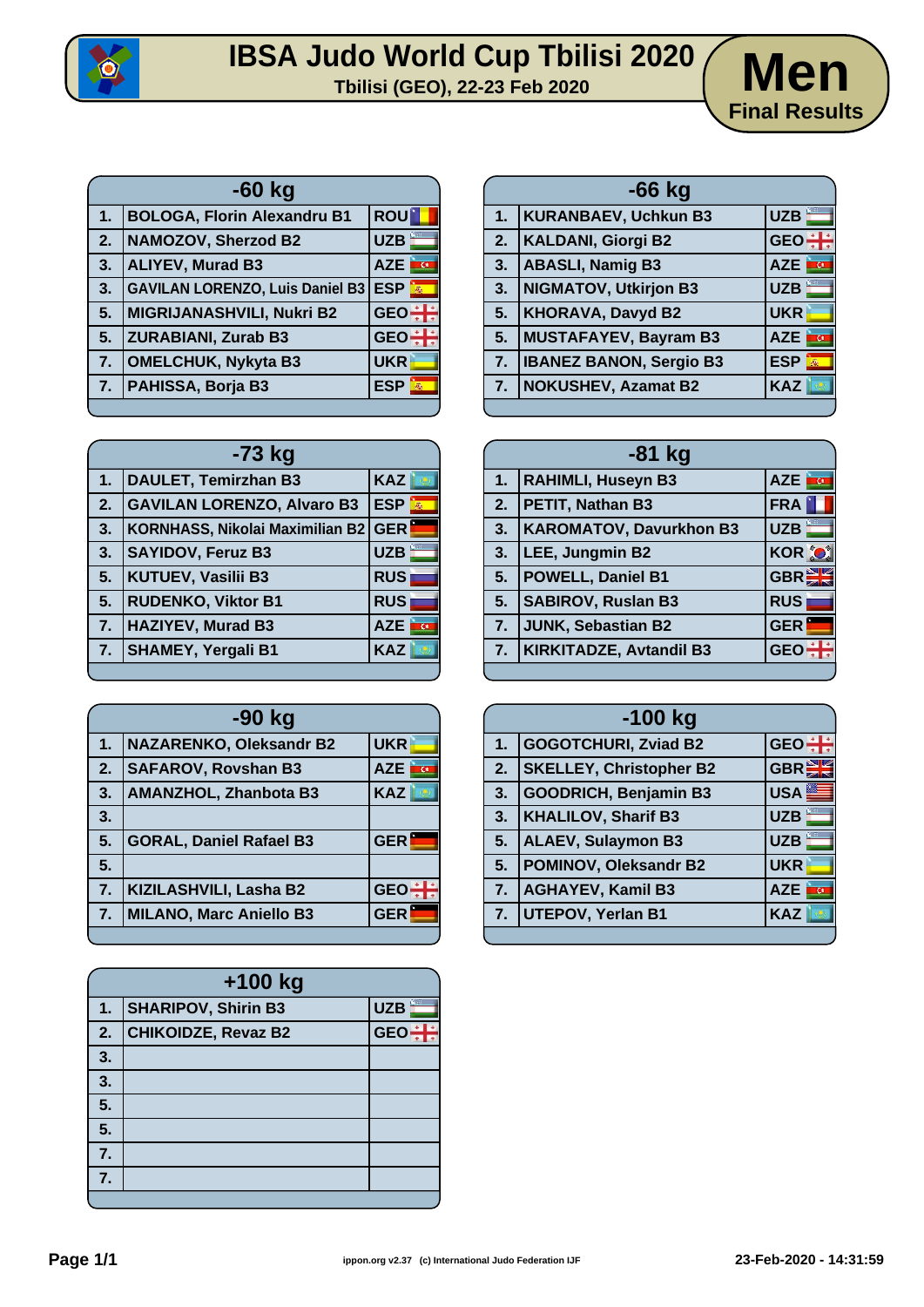

## **IBSA Judo World Cup Tbilisi 2020**<br> **Thilisi (GEO), 22-23 Feb 2020**



| $-60$ kg |                                        |                         |  |  |  |  |  |  |  |
|----------|----------------------------------------|-------------------------|--|--|--|--|--|--|--|
| 1.       | <b>BOLOGA, Florin Alexandru B1</b>     | <b>ROU</b>              |  |  |  |  |  |  |  |
| 2.       | <b>NAMOZOV, Sherzod B2</b>             | <b>UZB</b>              |  |  |  |  |  |  |  |
| 3.       | <b>ALIYEV, Murad B3</b>                | <b>AZE</b>              |  |  |  |  |  |  |  |
| 3.       | <b>GAVILAN LORENZO, Luis Daniel B3</b> | <b>ESP</b><br>$\vec{m}$ |  |  |  |  |  |  |  |
| 5.       | <b>MIGRIJANASHVILI, Nukri B2</b>       | <b>GEO</b>              |  |  |  |  |  |  |  |
| 5.       | <b>ZURABIANI, Zurab B3</b>             | <b>GEO</b>              |  |  |  |  |  |  |  |
| 7.       | <b>OMELCHUK, Nykyta B3</b>             | <b>UKR</b>              |  |  |  |  |  |  |  |
| 7.       | PAHISSA, Borja B3                      | <b>ESP</b>              |  |  |  |  |  |  |  |
|          |                                        |                         |  |  |  |  |  |  |  |

| <b>GEO</b><br><b>KALDANI, Giorgi B2</b><br>2.<br><b>ABASLI, Namig B3</b><br>3.<br><b>AZE</b><br>œ.<br><b>UZB</b><br><b>NIGMATOV, Utkirjon B3</b><br>3.<br><b>KHORAVA, Davyd B2</b><br>5.<br><b>UKR</b><br>MUSTAFAYEV, Bayram B3<br>5.<br><b>AZE</b><br>ख<br><b>ESP</b><br><b>IBANEZ BANON, Sergio B3</b><br>7.<br><b>NOKUSHEV, Azamat B2</b><br><b>KAZ</b><br>7. | 1. | <b>KURANBAEV, Uchkun B3</b> | <b>UZB</b> |
|------------------------------------------------------------------------------------------------------------------------------------------------------------------------------------------------------------------------------------------------------------------------------------------------------------------------------------------------------------------|----|-----------------------------|------------|
|                                                                                                                                                                                                                                                                                                                                                                  |    |                             |            |
|                                                                                                                                                                                                                                                                                                                                                                  |    |                             |            |
|                                                                                                                                                                                                                                                                                                                                                                  |    |                             |            |
|                                                                                                                                                                                                                                                                                                                                                                  |    |                             |            |
|                                                                                                                                                                                                                                                                                                                                                                  |    |                             |            |
|                                                                                                                                                                                                                                                                                                                                                                  |    |                             |            |
|                                                                                                                                                                                                                                                                                                                                                                  |    |                             |            |

**-66 kg**

| -73 kg |                                     |            |  |  |  |  |  |  |  |  |  |
|--------|-------------------------------------|------------|--|--|--|--|--|--|--|--|--|
| 1.     | DAULET, Temirzhan B3                | KAZ        |  |  |  |  |  |  |  |  |  |
| 2.     | <b>GAVILAN LORENZO, Alvaro B3</b>   | <b>ESP</b> |  |  |  |  |  |  |  |  |  |
| 3.     | KORNHASS, Nikolai Maximilian B2 GER |            |  |  |  |  |  |  |  |  |  |
| 3.     | <b>SAYIDOV, Feruz B3</b>            | <b>UZB</b> |  |  |  |  |  |  |  |  |  |
| 5.     | <b>KUTUEV, Vasilii B3</b>           | <b>RUS</b> |  |  |  |  |  |  |  |  |  |
| 5.     | <b>RUDENKO, Viktor B1</b>           | <b>RUS</b> |  |  |  |  |  |  |  |  |  |
| 7.     | <b>HAZIYEV, Murad B3</b>            | <b>AZE</b> |  |  |  |  |  |  |  |  |  |
| 7.     | <b>SHAMEY, Yergali B1</b>           | <b>KAZ</b> |  |  |  |  |  |  |  |  |  |
|        |                                     |            |  |  |  |  |  |  |  |  |  |

| -90 kg        |                                |            |  |  |  |  |  |  |  |  |
|---------------|--------------------------------|------------|--|--|--|--|--|--|--|--|
| $\mathbf 1$ . | <b>NAZARENKO, Oleksandr B2</b> | <b>UKR</b> |  |  |  |  |  |  |  |  |
| 2.            | <b>SAFAROV, Rovshan B3</b>     | <b>AZE</b> |  |  |  |  |  |  |  |  |
| 3.            | <b>AMANZHOL, Zhanbota B3</b>   | <b>KAZ</b> |  |  |  |  |  |  |  |  |
| 3.            |                                |            |  |  |  |  |  |  |  |  |
| 5.            | <b>GORAL, Daniel Rafael B3</b> | <b>GER</b> |  |  |  |  |  |  |  |  |
| 5.            |                                |            |  |  |  |  |  |  |  |  |
| 7.            | KIZILASHVILI, Lasha B2         | <b>GEO</b> |  |  |  |  |  |  |  |  |
| 7.            | <b>MILANO, Marc Aniello B3</b> | <b>GER</b> |  |  |  |  |  |  |  |  |
|               |                                |            |  |  |  |  |  |  |  |  |

| +100 kg |                            |            |  |  |  |  |  |  |  |  |  |
|---------|----------------------------|------------|--|--|--|--|--|--|--|--|--|
| 1.      | <b>SHARIPOV, Shirin B3</b> | <b>UZB</b> |  |  |  |  |  |  |  |  |  |
| 2.      | <b>CHIKOIDZE, Revaz B2</b> | <b>GEC</b> |  |  |  |  |  |  |  |  |  |
| 3.      |                            |            |  |  |  |  |  |  |  |  |  |
| 3.      |                            |            |  |  |  |  |  |  |  |  |  |
| 5.      |                            |            |  |  |  |  |  |  |  |  |  |
| 5.      |                            |            |  |  |  |  |  |  |  |  |  |
| 7.      |                            |            |  |  |  |  |  |  |  |  |  |
| 7.      |                            |            |  |  |  |  |  |  |  |  |  |
|         |                            |            |  |  |  |  |  |  |  |  |  |

| -81 kg         |                              |               |  |  |  |  |  |  |  |  |
|----------------|------------------------------|---------------|--|--|--|--|--|--|--|--|
|                | 1.   RAHIMLI, Huseyn B3      | AZE <b>FG</b> |  |  |  |  |  |  |  |  |
|                | 2.   PETIT, Nathan B3        | FRA           |  |  |  |  |  |  |  |  |
|                | 3.   KAROMATOV, Davurkhon B3 | <b>UZB</b>    |  |  |  |  |  |  |  |  |
| 3.             | LEE, Jungmin B2              | <b>KOR O</b>  |  |  |  |  |  |  |  |  |
| 5 <sub>1</sub> | <b>POWELL, Daniel B1</b>     | <b>GBREE</b>  |  |  |  |  |  |  |  |  |
| 5.             | <b>SABIROV, Ruslan B3</b>    | <b>RUS</b>    |  |  |  |  |  |  |  |  |
| 7.             | JUNK, Sebastian B2           | <b>GER</b>    |  |  |  |  |  |  |  |  |
|                | 7.   KIRKITADZE, Avtandil B3 | <b>GEO</b>    |  |  |  |  |  |  |  |  |

| $-100$ kg |                                |                         |  |  |  |  |  |  |  |  |  |
|-----------|--------------------------------|-------------------------|--|--|--|--|--|--|--|--|--|
| 1.        | <b>GOGOTCHURI, Zviad B2</b>    | GEO <sup>+</sup>        |  |  |  |  |  |  |  |  |  |
| 2.        | <b>SKELLEY, Christopher B2</b> | <b>GBR</b>              |  |  |  |  |  |  |  |  |  |
| 3.        | GOODRICH, Benjamin B3          | USA <sup>E</sup>        |  |  |  |  |  |  |  |  |  |
| 3.        | <b>KHALILOV, Sharif B3</b>     | <b>UZB</b>              |  |  |  |  |  |  |  |  |  |
| 5.        | <b>ALAEV, Sulaymon B3</b>      | <b>UZB</b>              |  |  |  |  |  |  |  |  |  |
| 5.        | POMINOV, Oleksandr B2          | <b>UKR</b>              |  |  |  |  |  |  |  |  |  |
| 7.        | <b>AGHAYEV, Kamil B3</b>       | <b>AZE</b><br><b>AU</b> |  |  |  |  |  |  |  |  |  |
| 7.        | <b>UTEPOV, Yerlan B1</b>       | <b>KAZ</b>              |  |  |  |  |  |  |  |  |  |
|           |                                |                         |  |  |  |  |  |  |  |  |  |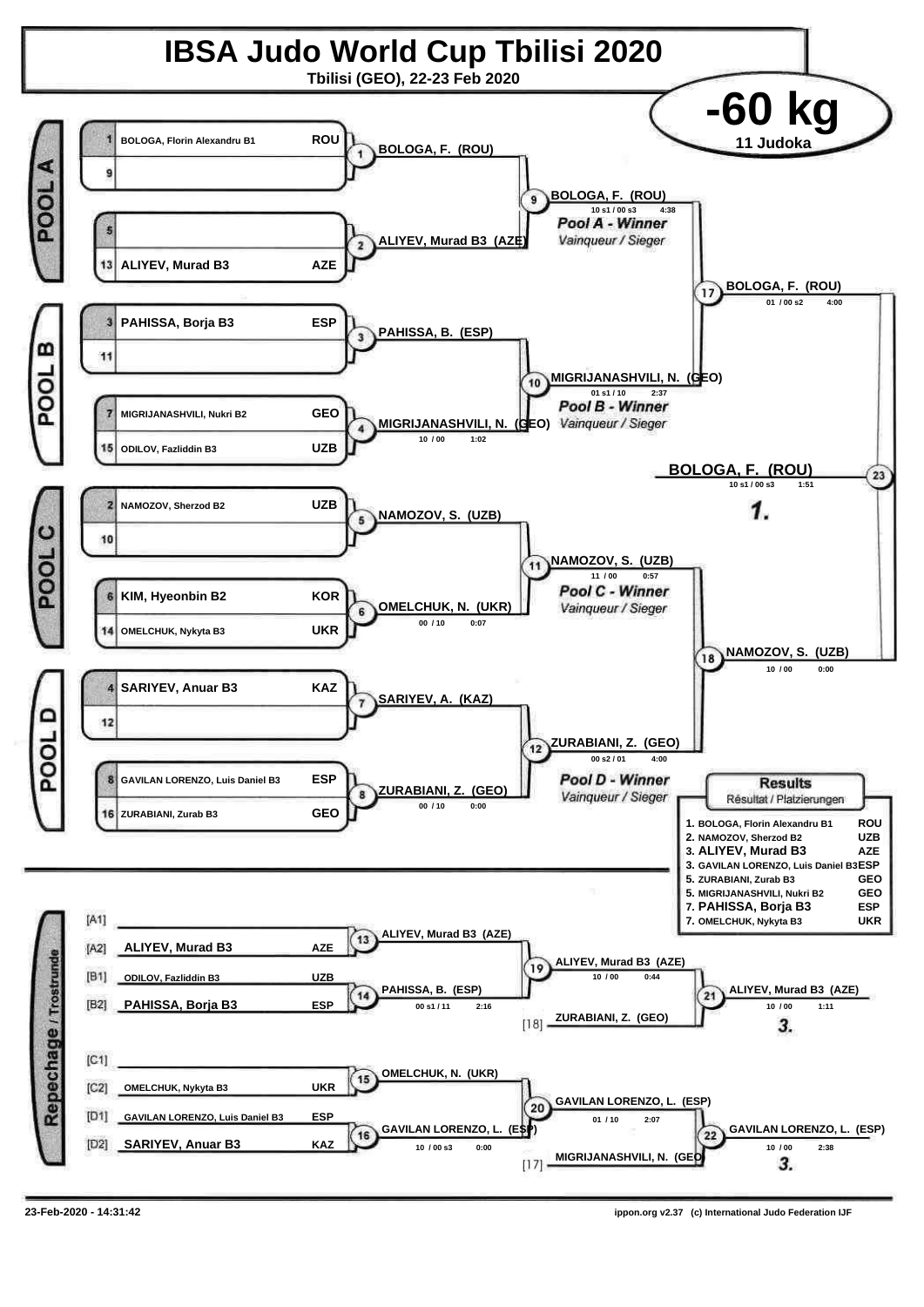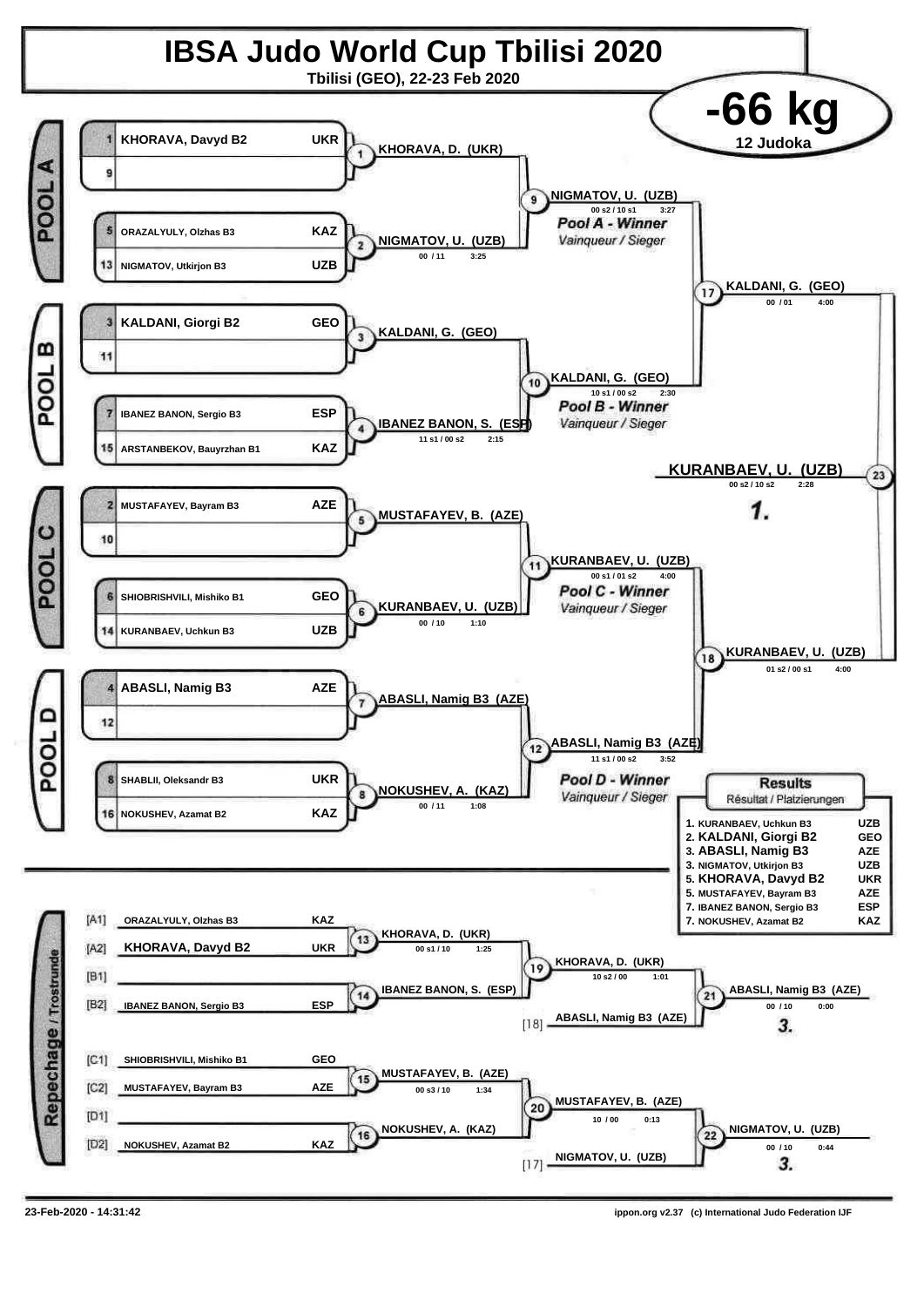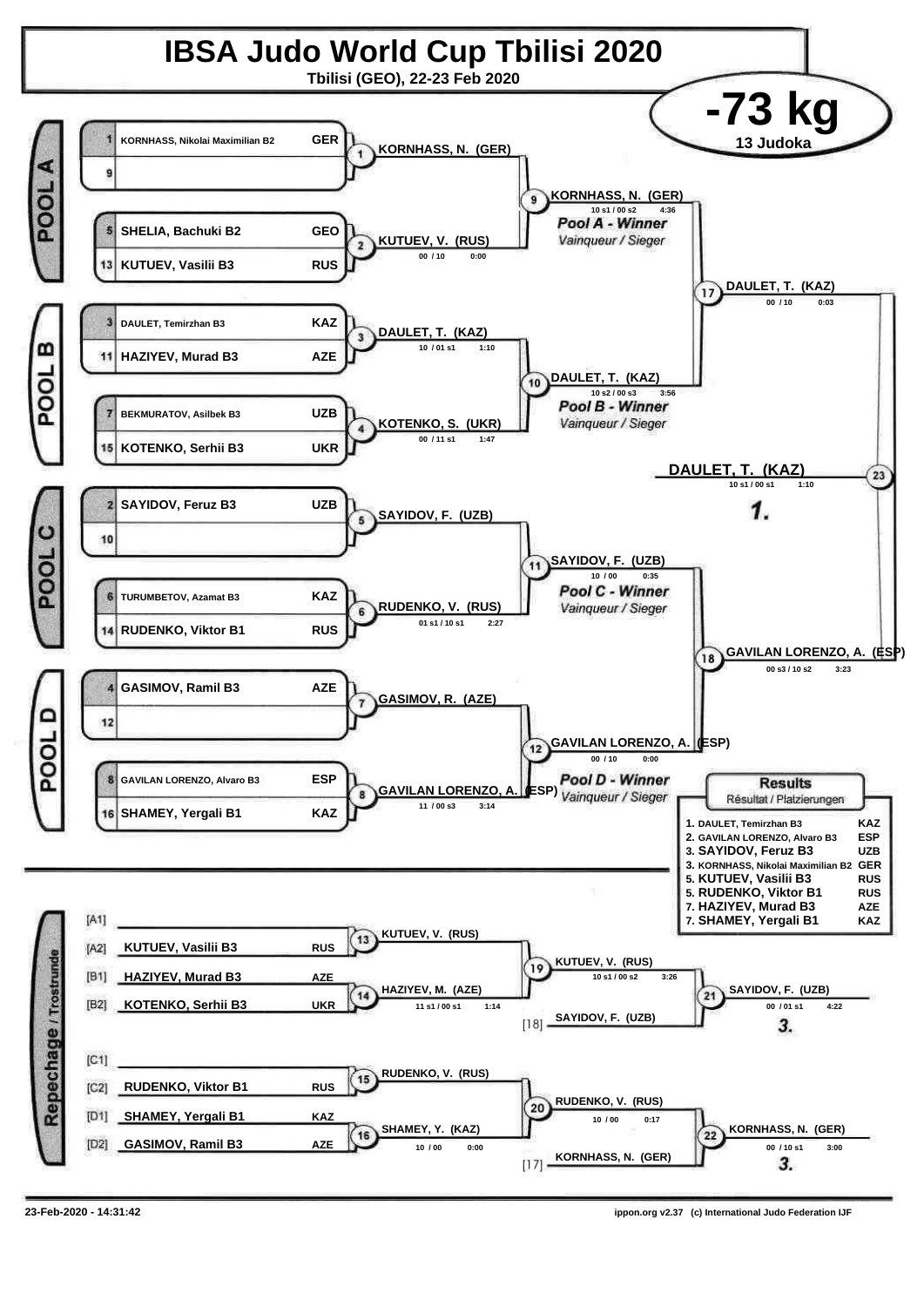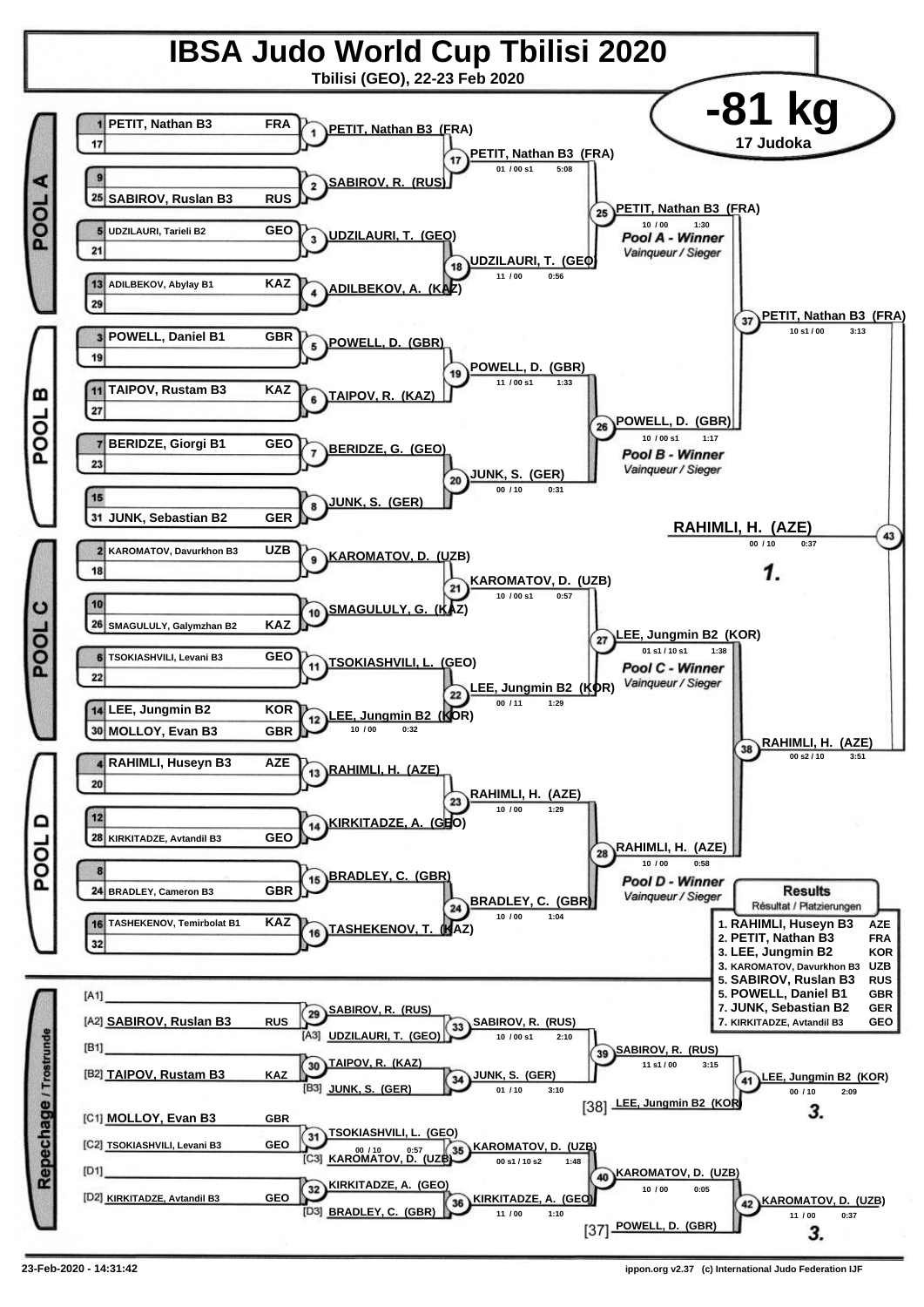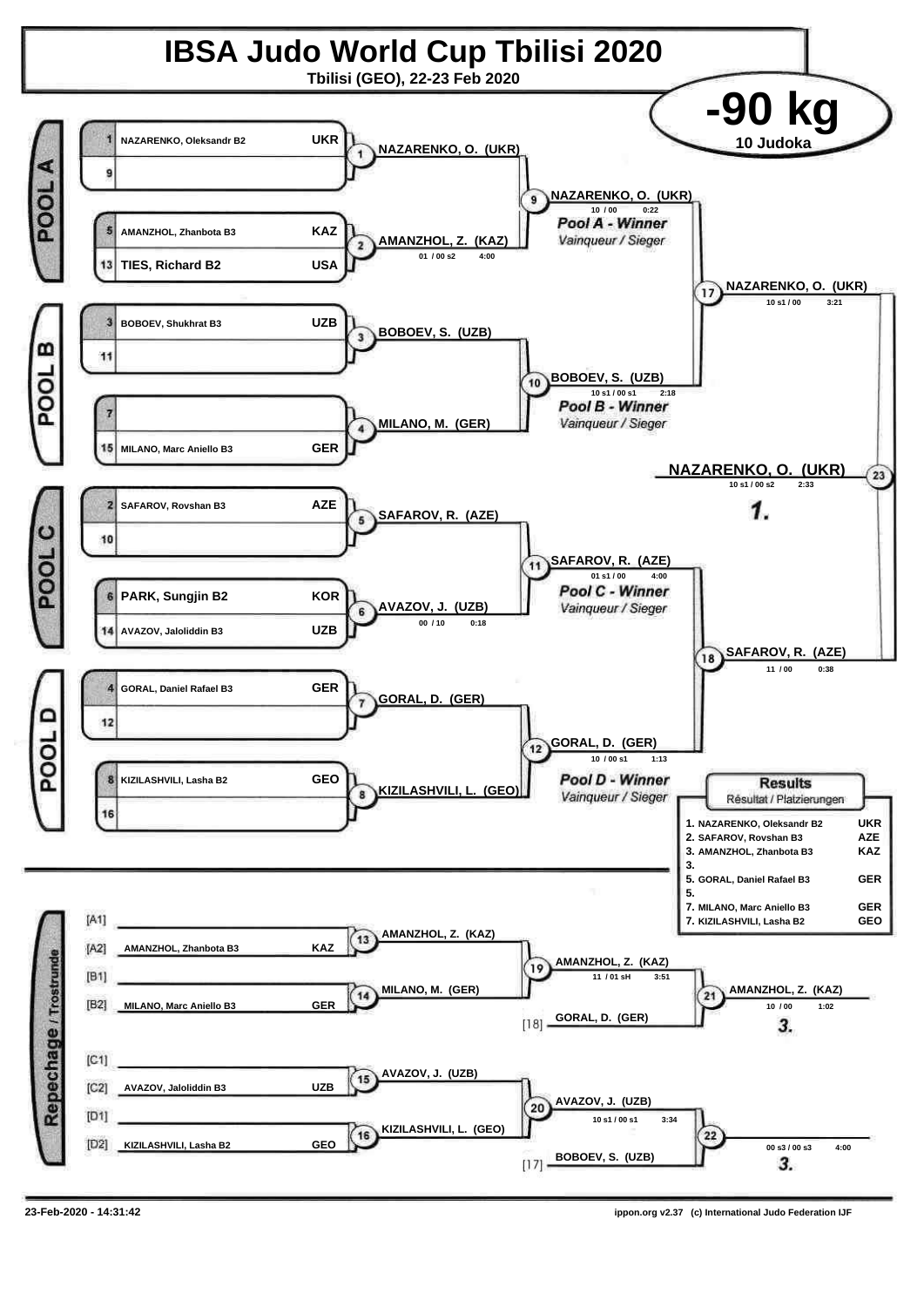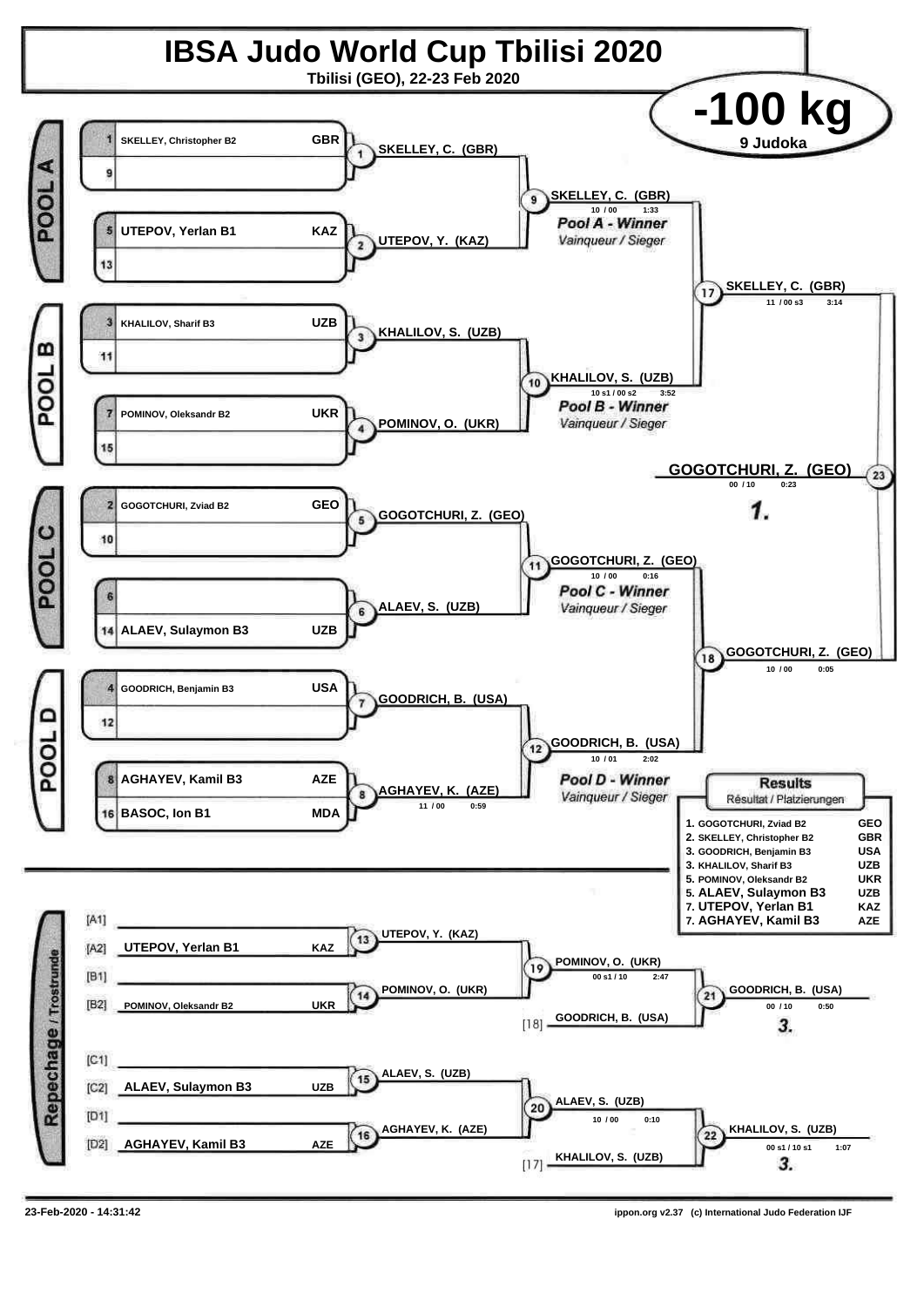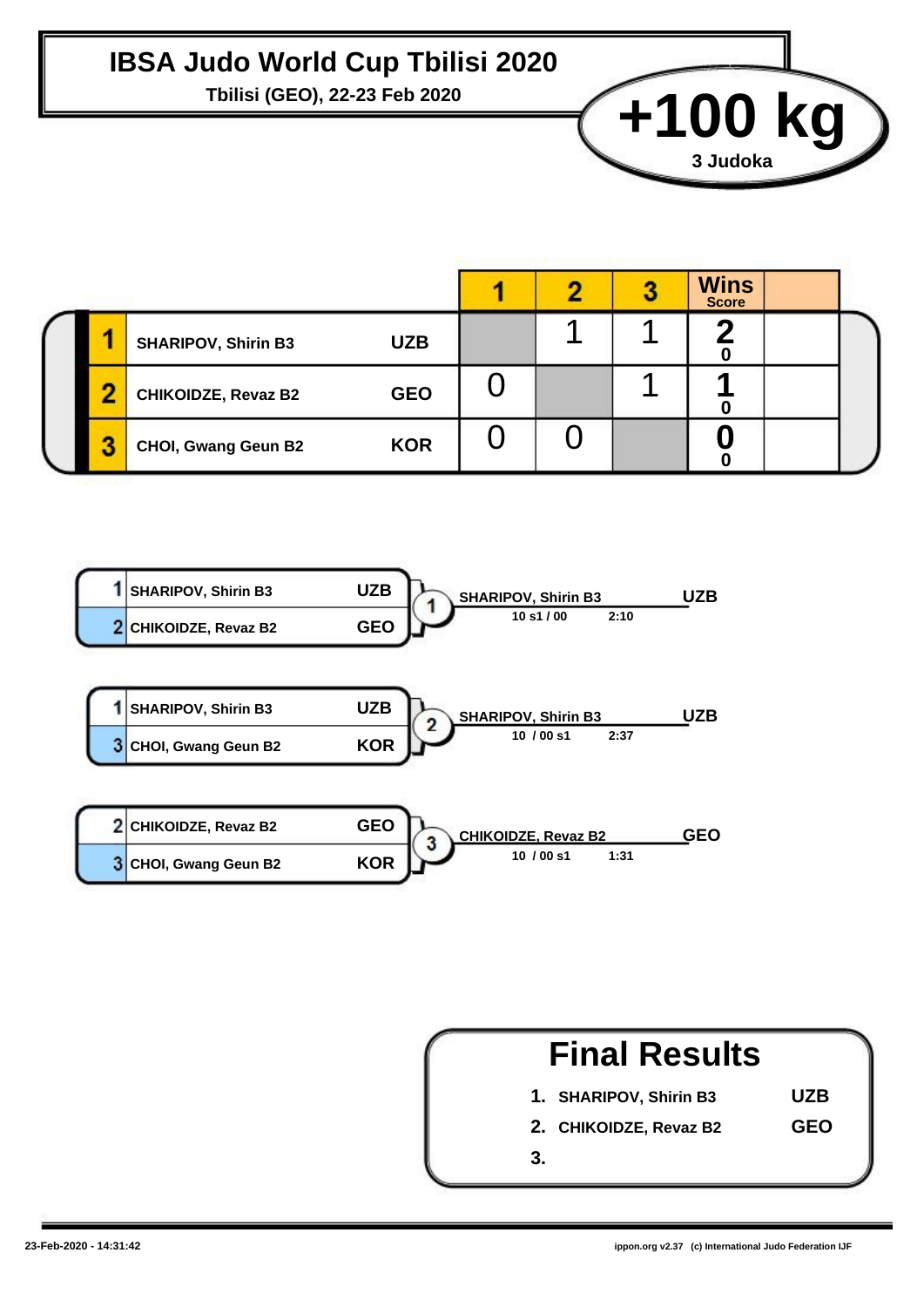#### **IBSA Judo World Cup Tbilisi 2020**

Tbilisi (GEO), 22-23 Feb 2020<br> **+100 kg** 

|   |                            |            |  | <b>Wins</b><br><b>Score</b> |  |
|---|----------------------------|------------|--|-----------------------------|--|
|   | <b>SHARIPOV, Shirin B3</b> | <b>UZB</b> |  |                             |  |
|   | <b>CHIKOIDZE, Revaz B2</b> | <b>GEO</b> |  |                             |  |
| 2 | <b>CHOI, Gwang Geun B2</b> | <b>KOR</b> |  |                             |  |





**3 Judoka**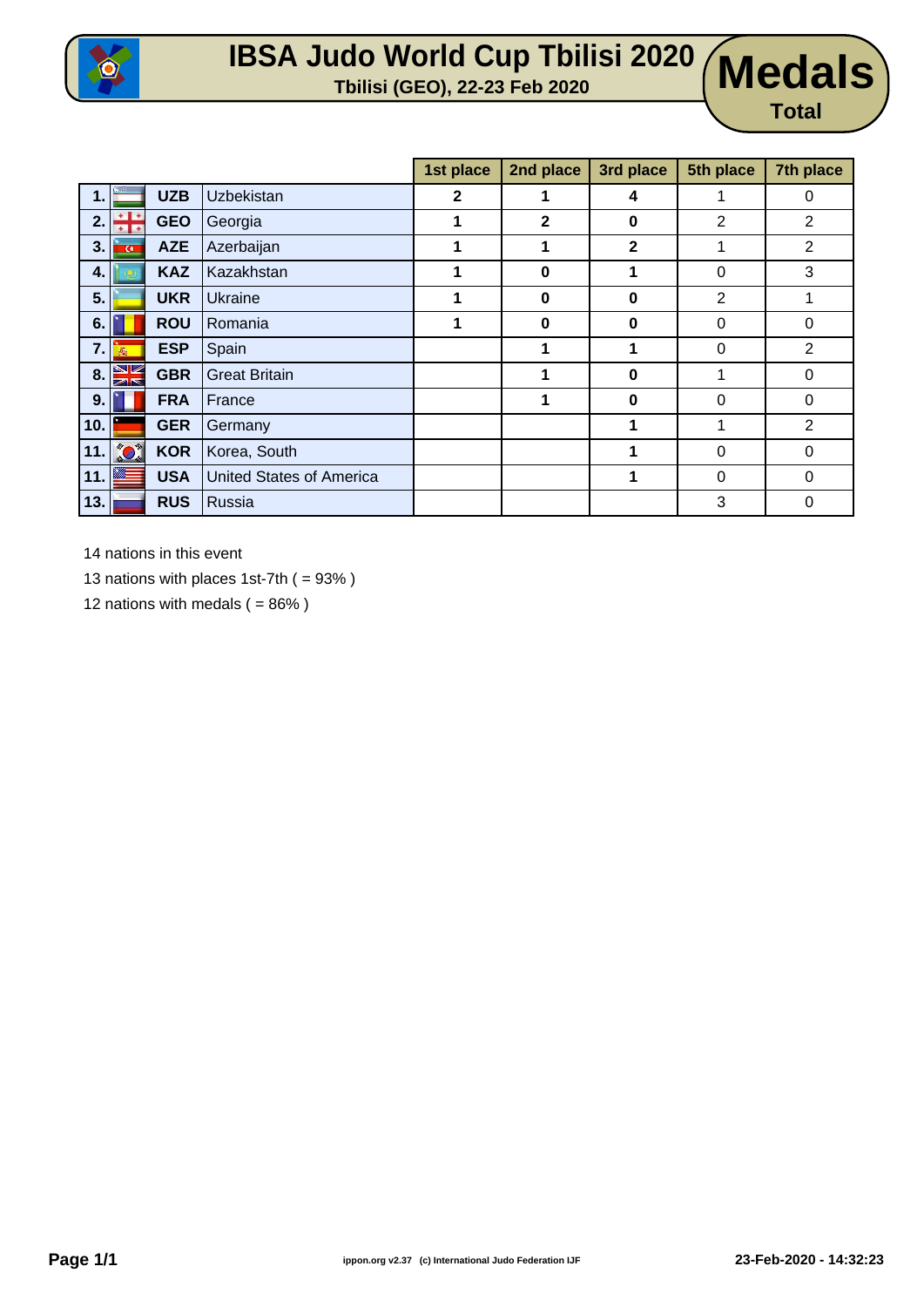

### **IBSA Judo World Cup Tbilisi 2020 Tbilisi (GEO), 22-23 Feb 2020 Medals**

# **Total**

|             |                |            |                                 | 1st place   | 2nd place    | 3rd place    | 5th place      | 7th place      |
|-------------|----------------|------------|---------------------------------|-------------|--------------|--------------|----------------|----------------|
| $\mathbf 1$ |                | <b>UZB</b> | <b>Uzbekistan</b>               | $\mathbf 2$ | 1            | 4            | 1              | 0              |
| 2.          | $+1+$          | <b>GEO</b> | Georgia                         | 1           | $\mathbf{2}$ | $\bf{0}$     | $\overline{2}$ | 2              |
| 3.          | $\overline{G}$ | <b>AZE</b> | Azerbaijan                      | 1           | 1            | $\mathbf{2}$ | 1              | $\overline{2}$ |
| 4.          |                | <b>KAZ</b> | Kazakhstan                      | 1           | 0            | 1            | 0              | 3              |
| 5.          |                | <b>UKR</b> | Ukraine                         | 1           | $\bf{0}$     | $\bf{0}$     | $\overline{2}$ |                |
| 6.          |                | <b>ROU</b> | Romania                         | 1           | $\bf{0}$     | 0            | 0              | 0              |
| 7.          | 燕              | <b>ESP</b> | Spain                           |             | 1            | 1            | $\Omega$       | $\overline{2}$ |
| 8.          | VK<br>困惑       | <b>GBR</b> | <b>Great Britain</b>            |             |              | $\bf{0}$     | 1              | 0              |
| 9.          |                | <b>FRA</b> | France                          |             | 1            | $\bf{0}$     | $\Omega$       | $\Omega$       |
| 10.         |                | <b>GER</b> | Germany                         |             |              | 1            | 1              | 2              |
| 11.         | <b>CO</b>      | <b>KOR</b> | Korea, South                    |             |              | 1            | $\Omega$       | $\Omega$       |
| 11.         |                | <b>USA</b> | <b>United States of America</b> |             |              | 1            | $\Omega$       | $\Omega$       |
| 13.         |                | <b>RUS</b> | Russia                          |             |              |              | 3              | 0              |

14 nations in this event

13 nations with places 1st-7th ( = 93% )

12 nations with medals  $( = 86\%)$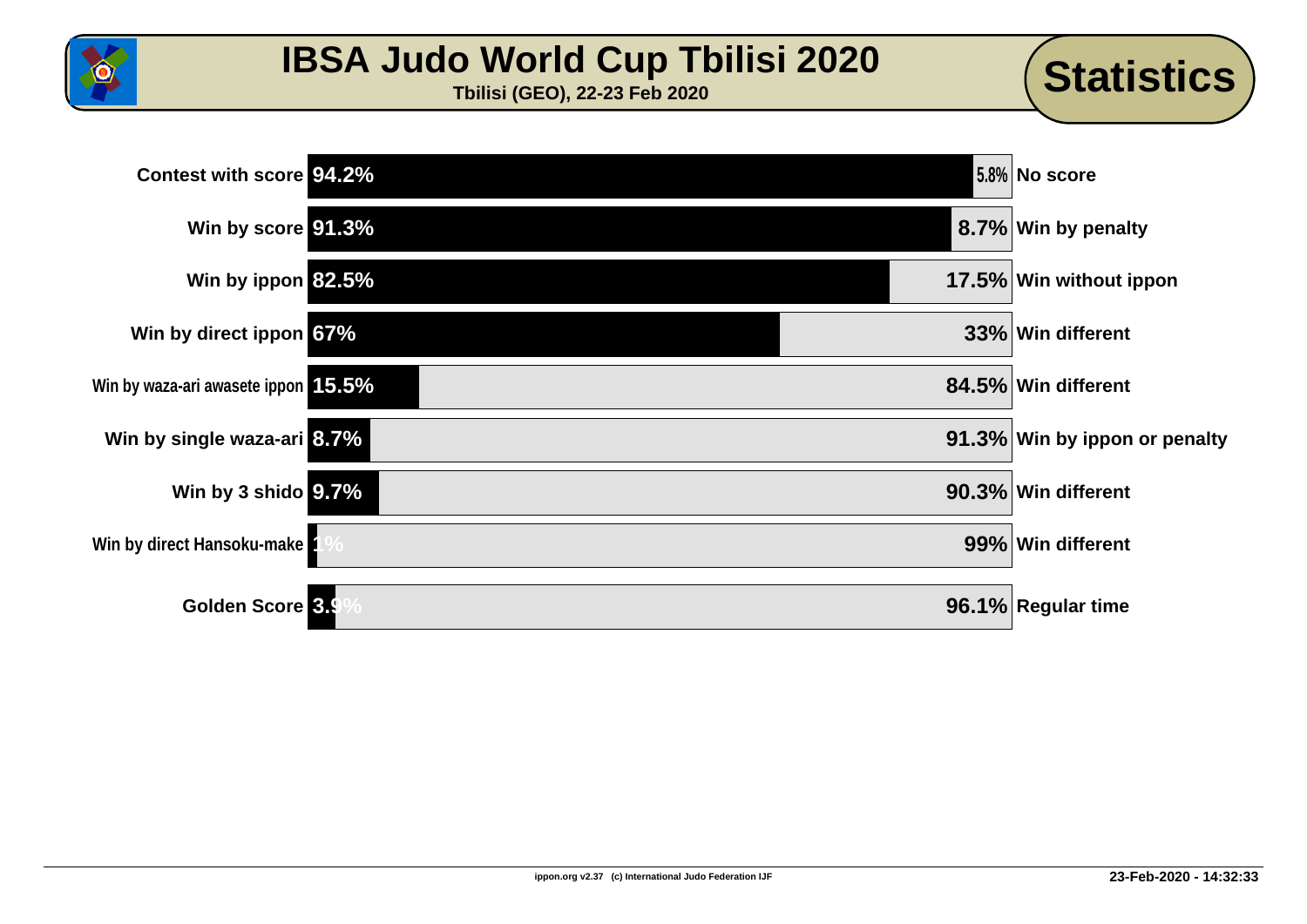